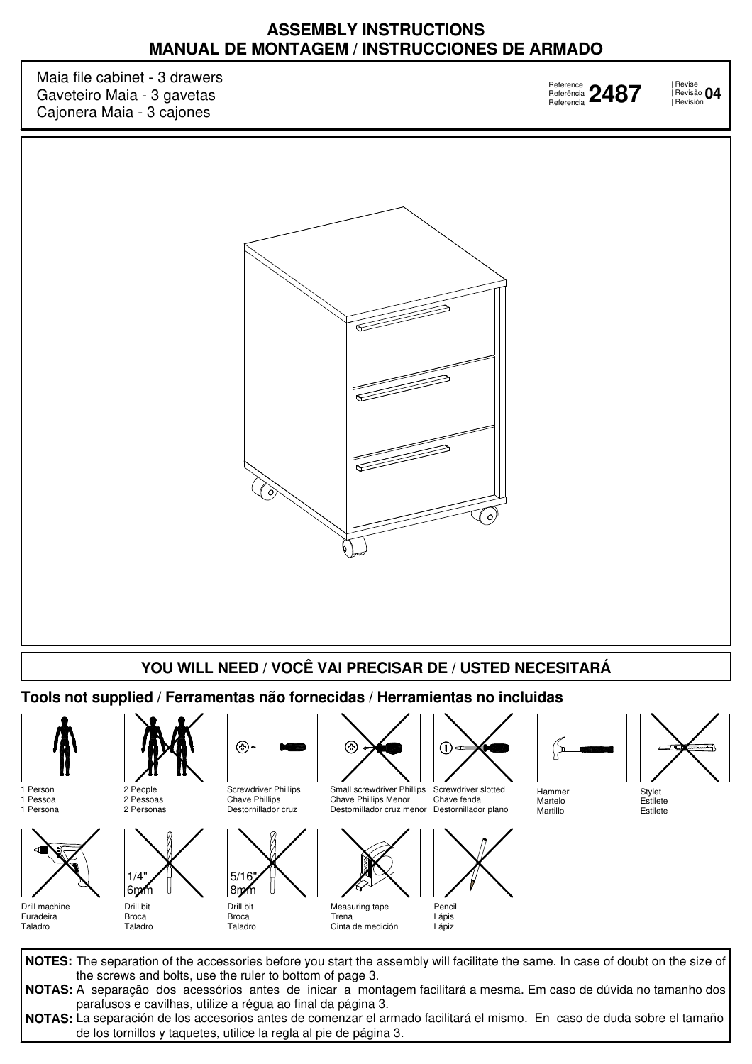## **ASSEMBLY INSTRUCTIONS MANUAL DE MONTAGEM / INSTRUCCIONES DE ARMADO**

Maia file cabinet - 3 drawers Gaveteiro Maia - 3 gavetas Cajonera Maia - 3 cajones

Reference Referência Referencia

| Revise | Revisão **2487 <sup>04</sup>** Revisión



## **YOU WILL NEED / VOCÊ VAI PRECISAR DE / USTED NECESITARÁ**

**Tools not supplied / Ferramentas não fornecidas / Herramientas no incluidas**



1 Person 1 Pessoa 1 Persona



Drill machine Furadeira Taladro



2 People 2 Pessoas 2 Personas



Broca Taladro



Drill bit Broca Taladro

8mm



Destornillador cruz menor Destornillador plano Small screwdriver Phillips Chave Phillips Menor



Trena Cinta de medición



Screwdriver slotted Chave fenda



Lápiz



Martillo





Estilete Estilete

**NOTES:** The separation of the accessories before you start the assembly will facilitate the same. In case of doubt on the size of **NOTAS:** A separação dos acessórios antes de inicar a montagem facilitará a mesma. Em caso de dúvida no tamanho dos **NOTAS:** La separación de los accesorios antes de comenzar el armado facilitará el mismo. En caso de duda sobre el tamaño the screws and bolts, use the ruler to bottom of page 3. parafusos e cavilhas, utilize a régua ao final da página 3. de los tornillos y taquetes, utilice la regla al pie de página 3.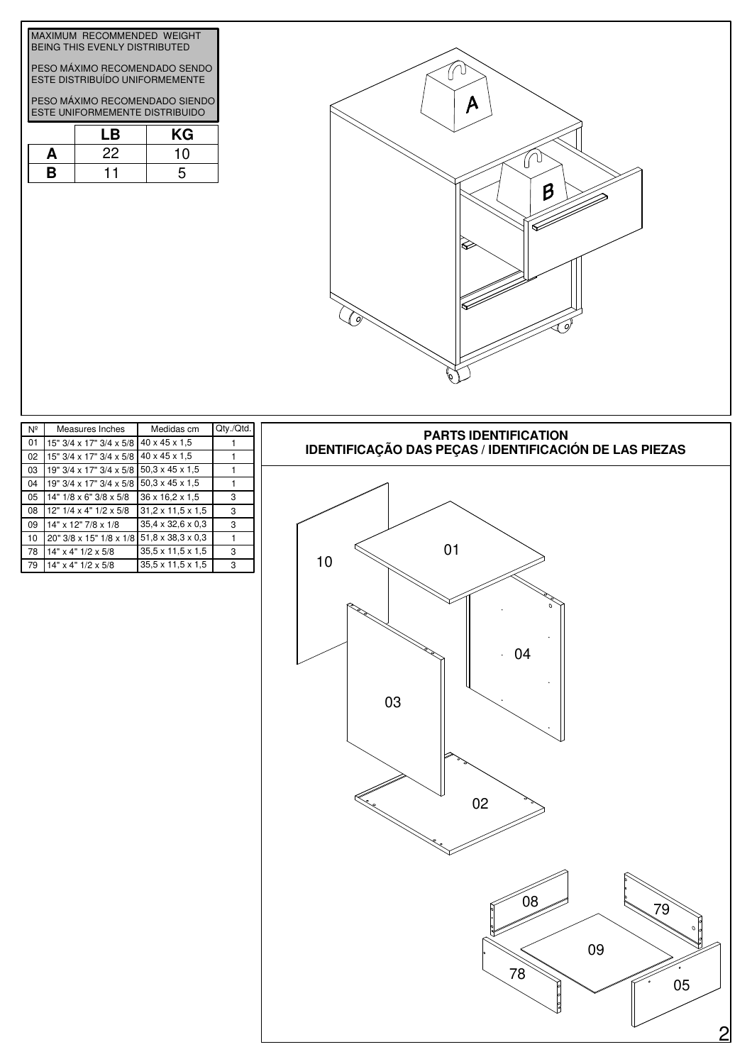| β       |
|---------|
| ſ.<br>Ω |

| MAXIMUM RECOMMENDED WEIGHT<br>BEING THIS EVENLY DISTRIBUTED      |                                                                        |    |  |  |  |
|------------------------------------------------------------------|------------------------------------------------------------------------|----|--|--|--|
|                                                                  | PESO MÁXIMO RECOMENDADO SENDO<br><b>ESTE DISTRIBUÍDO UNIFORMEMENTE</b> |    |  |  |  |
| PESO MÁXIMO RECOMENDADO SIENDO<br>ESTE UNIFORMEMENTE DISTRIBUIDO |                                                                        |    |  |  |  |
|                                                                  | l B                                                                    | KG |  |  |  |
|                                                                  | クク                                                                     |    |  |  |  |

**B**



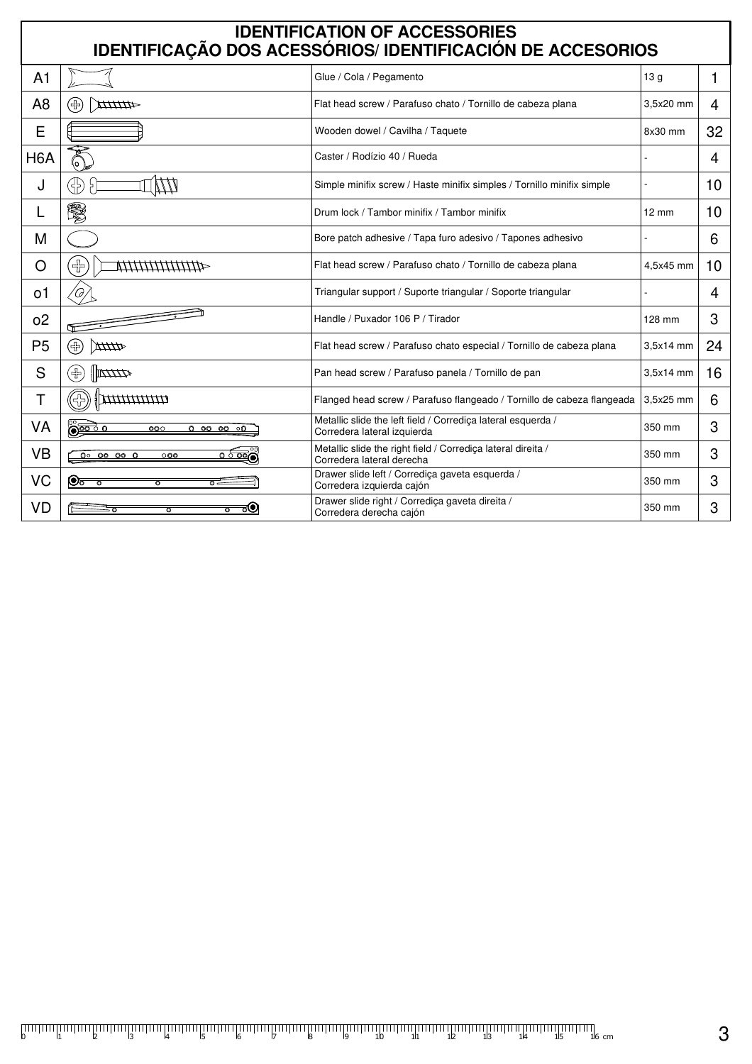| <b>IDENTIFICATION OF ACCESSORIES</b><br>IDENTIFICAÇÃO DOS ACESSÓRIOS/IDENTIFICACIÓN DE ACCESORIOS |                                                                        |                                                                                             |                 |    |  |  |  |  |
|---------------------------------------------------------------------------------------------------|------------------------------------------------------------------------|---------------------------------------------------------------------------------------------|-----------------|----|--|--|--|--|
|                                                                                                   |                                                                        |                                                                                             |                 |    |  |  |  |  |
| A <sub>1</sub>                                                                                    |                                                                        | Glue / Cola / Pegamento                                                                     | 13 <sub>g</sub> | 1  |  |  |  |  |
| A <sub>8</sub>                                                                                    | 44444X<br>(品)                                                          | Flat head screw / Parafuso chato / Tornillo de cabeza plana                                 | 3.5x20 mm       | 4  |  |  |  |  |
| E                                                                                                 |                                                                        | Wooden dowel / Cavilha / Taquete                                                            | 8x30 mm         | 32 |  |  |  |  |
| H <sub>6</sub> A                                                                                  |                                                                        | Caster / Rodízio 40 / Rueda                                                                 |                 | 4  |  |  |  |  |
| J                                                                                                 | 35                                                                     | Simple minifix screw / Haste minifix simples / Tornillo minifix simple                      |                 | 10 |  |  |  |  |
|                                                                                                   | \$                                                                     | Drum lock / Tambor minifix / Tambor minifix                                                 | $12 \text{ mm}$ | 10 |  |  |  |  |
| М                                                                                                 |                                                                        | Bore patch adhesive / Tapa furo adesivo / Tapones adhesivo                                  |                 | 6  |  |  |  |  |
| O                                                                                                 | $\pm$<br>*************************                                     | Flat head screw / Parafuso chato / Tornillo de cabeza plana                                 | 4.5x45 mm       | 10 |  |  |  |  |
| о1                                                                                                |                                                                        | Triangular support / Suporte triangular / Soporte triangular                                |                 | 4  |  |  |  |  |
| 0 <sup>2</sup>                                                                                    |                                                                        | Handle / Puxador 106 P / Tirador                                                            | 128 mm          | 3  |  |  |  |  |
| P <sub>5</sub>                                                                                    | (4)<br>Atth                                                            | Flat head screw / Parafuso chato especial / Tornillo de cabeza plana                        | 3.5x14 mm       | 24 |  |  |  |  |
| S                                                                                                 | $\mathbb{R}$<br>$\left(\oplus\right)$                                  | Pan head screw / Parafuso panela / Tornillo de pan                                          | 3,5x14 mm       | 16 |  |  |  |  |
| T                                                                                                 | $\frac{1}{2}$                                                          | Flanged head screw / Parafuso flangeado / Tornillo de cabeza flangeada                      | 3,5x25 mm       | 6  |  |  |  |  |
| VA                                                                                                | <u> စြဲစာခဲ့ ၀</u><br>000<br>0 00 00 00                                | Metallic slide the left field / Corrediça lateral esquerda /<br>Corredera lateral izquierda | 350 mm          | 3  |  |  |  |  |
| VB                                                                                                | $0^\circ$ 00 00 0<br>$\overline{\circ\, \overline{\circ\circ}}$<br>000 | Metallic slide the right field / Corrediça lateral direita /<br>Corredera lateral derecha   | 350 mm          | 3  |  |  |  |  |
| VC                                                                                                | $\circledcirc$ ত<br>$\overline{\circ}$<br>$\overline{O}$ $\epsilon$    | Drawer slide left / Corrediça gaveta esquerda /<br>Corredera izquierda cajón                | 350 mm          | 3  |  |  |  |  |
| VD                                                                                                | ಕಅ<br>ত<br>$\overline{\mathbf{o}}$                                     | Drawer slide right / Corrediça gaveta direita /<br>Corredera derecha cajón                  | 350 mm          | 3  |  |  |  |  |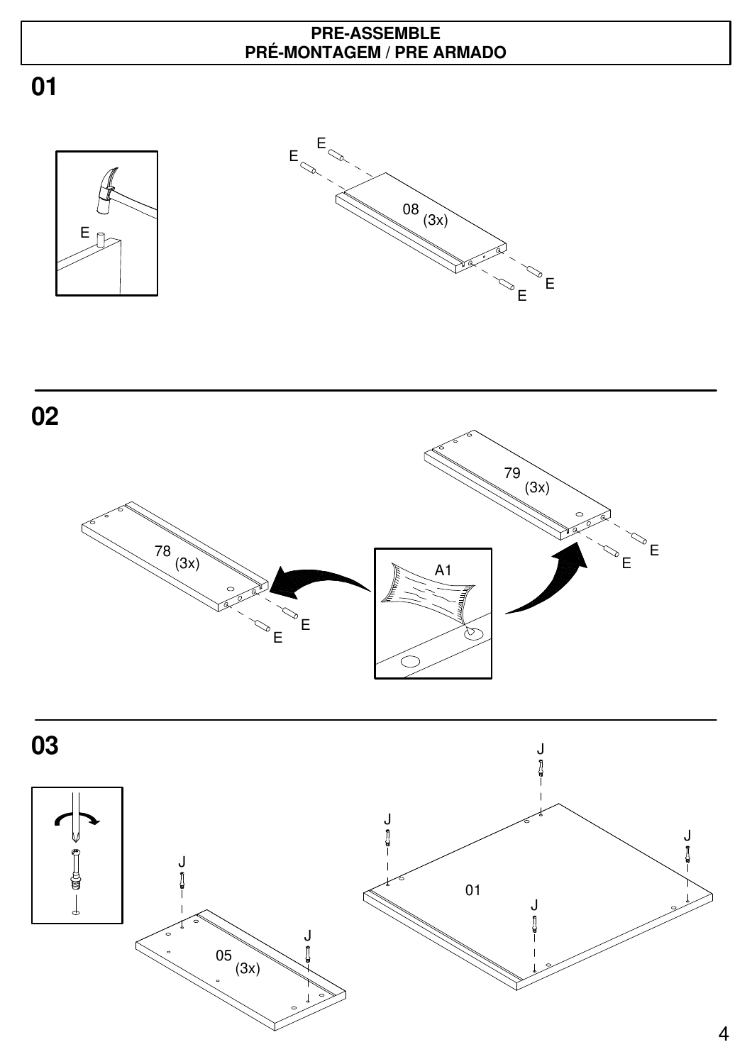## **PRE-ASSEMBLE PRÉ-MONTAGEM / PRE ARMADO**





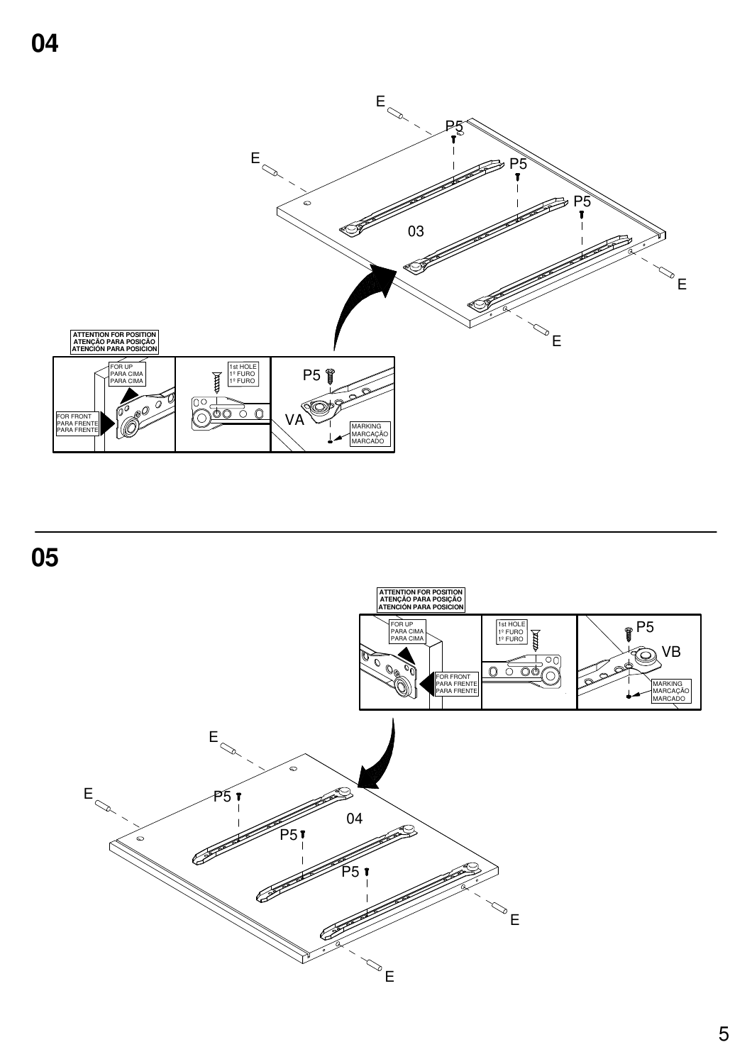

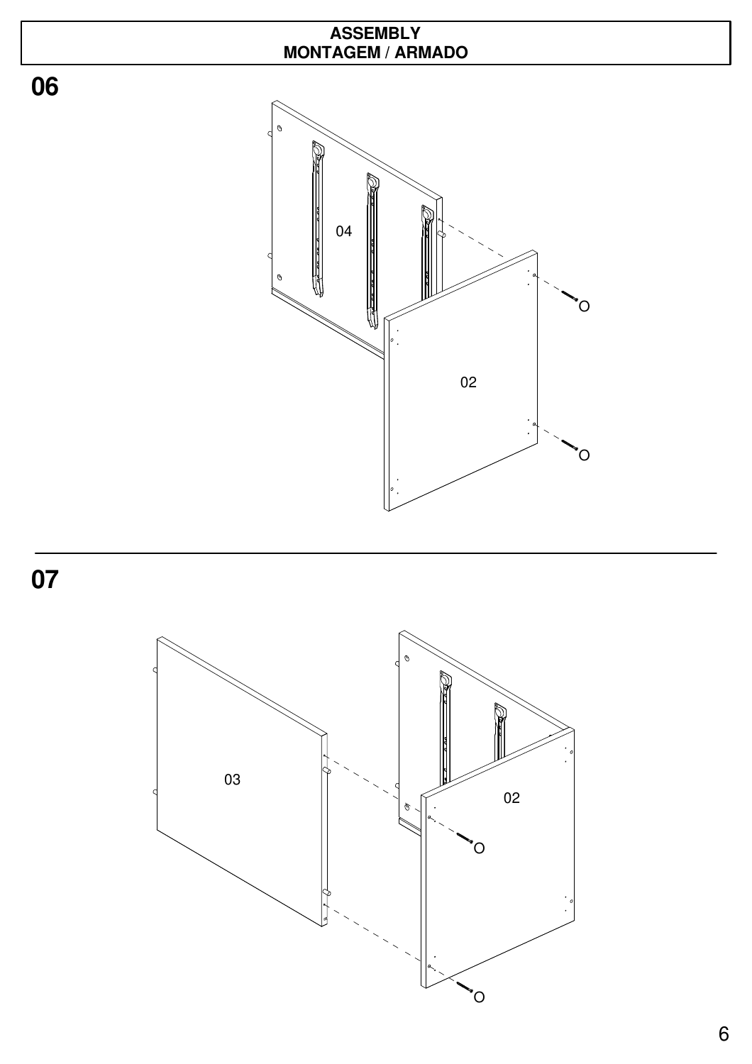





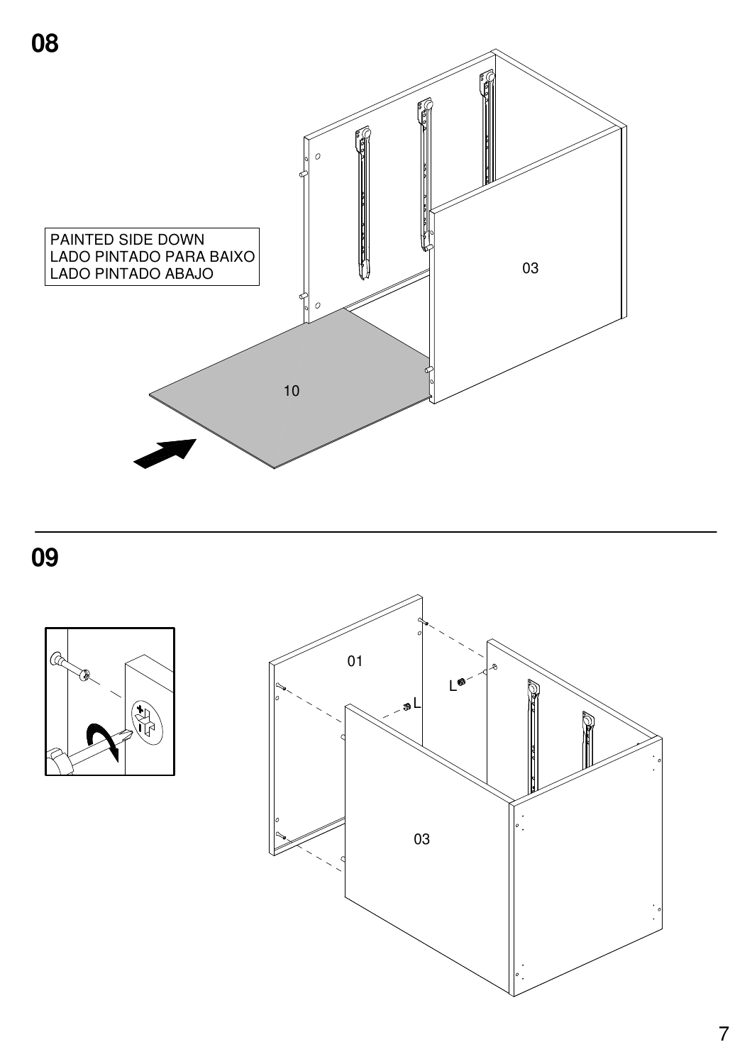



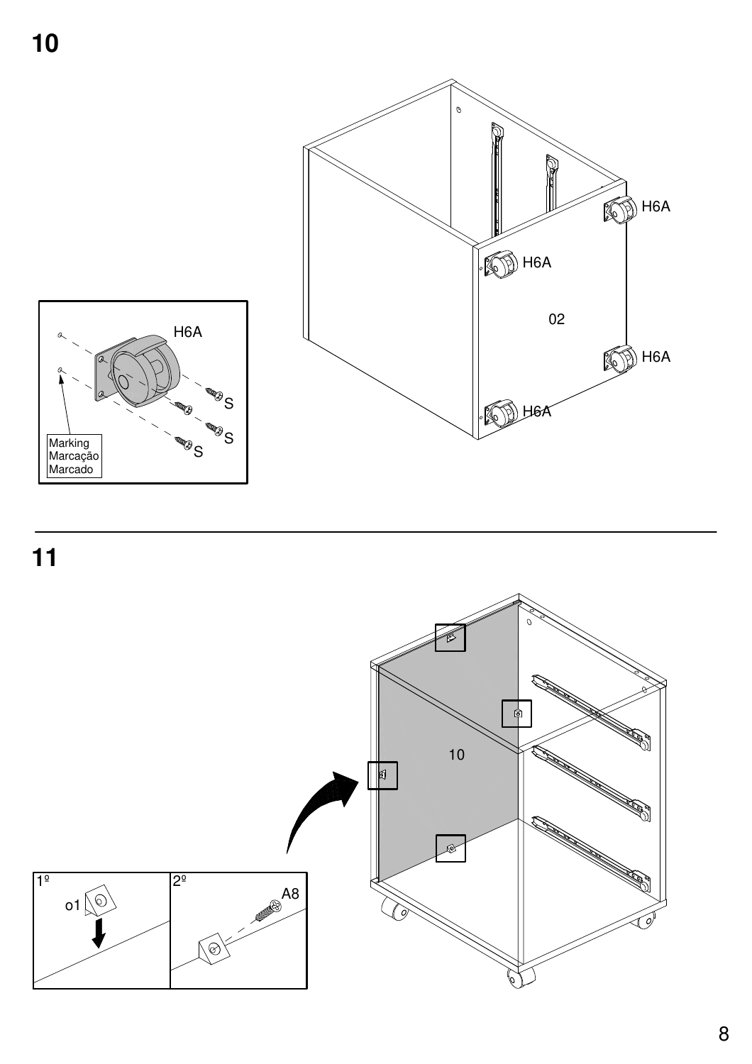

 $\frac{11}{11}$ 

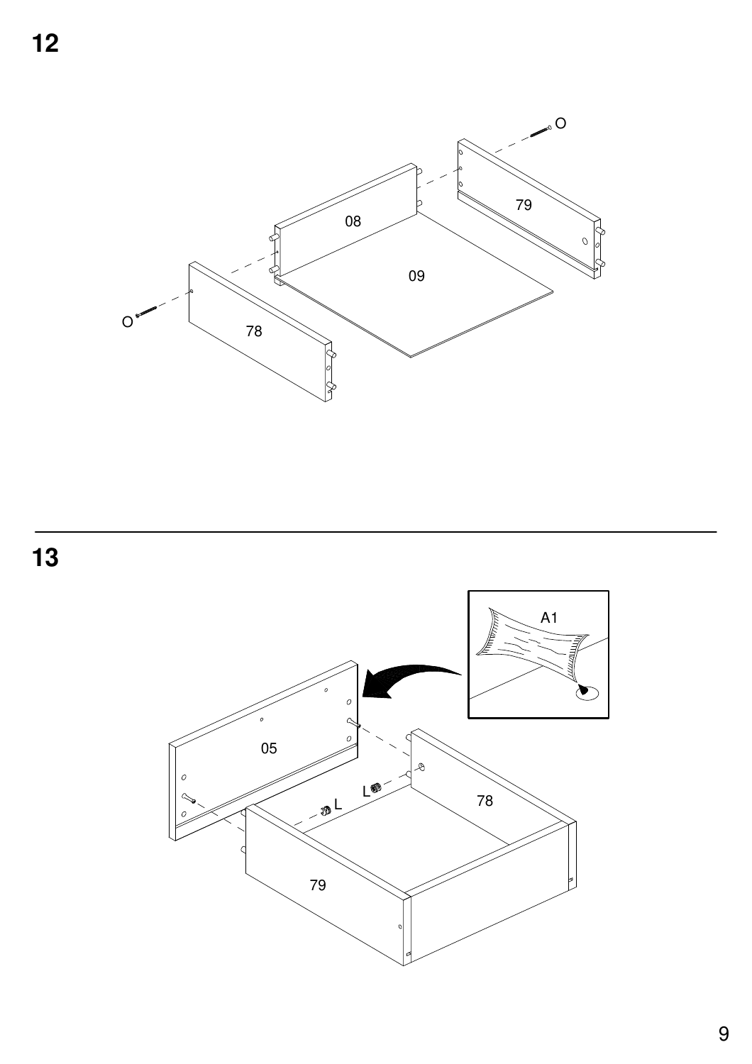



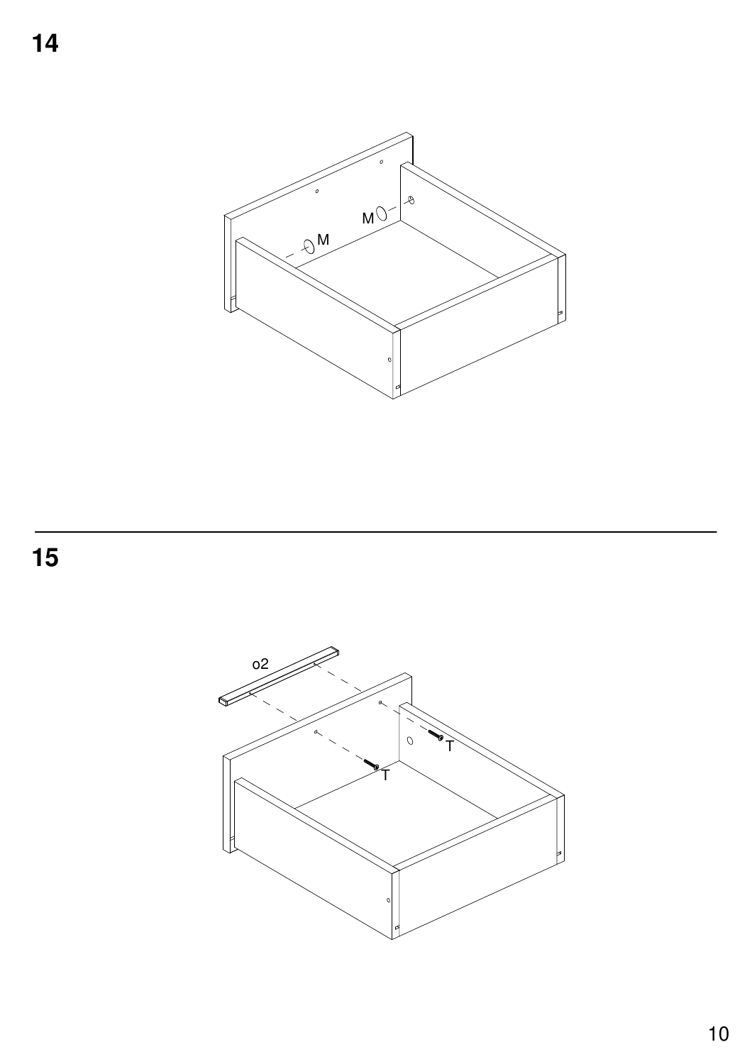